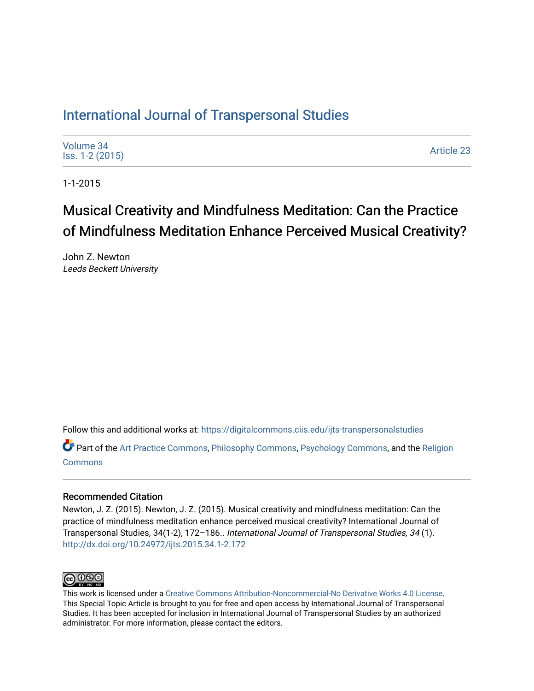# [International Journal of Transpersonal Studies](https://digitalcommons.ciis.edu/ijts-transpersonalstudies)

| Volume 34<br>lss. 1-2 (2015) | <b>Article 23</b> |
|------------------------------|-------------------|
|------------------------------|-------------------|

1-1-2015

# Musical Creativity and Mindfulness Meditation: Can the Practice of Mindfulness Meditation Enhance Perceived Musical Creativity?

John Z. Newton Leeds Beckett University

Follow this and additional works at: [https://digitalcommons.ciis.edu/ijts-transpersonalstudies](https://digitalcommons.ciis.edu/ijts-transpersonalstudies?utm_source=digitalcommons.ciis.edu%2Fijts-transpersonalstudies%2Fvol34%2Fiss1%2F23&utm_medium=PDF&utm_campaign=PDFCoverPages) 

Part of the [Art Practice Commons](http://network.bepress.com/hgg/discipline/509?utm_source=digitalcommons.ciis.edu%2Fijts-transpersonalstudies%2Fvol34%2Fiss1%2F23&utm_medium=PDF&utm_campaign=PDFCoverPages), [Philosophy Commons](http://network.bepress.com/hgg/discipline/525?utm_source=digitalcommons.ciis.edu%2Fijts-transpersonalstudies%2Fvol34%2Fiss1%2F23&utm_medium=PDF&utm_campaign=PDFCoverPages), [Psychology Commons](http://network.bepress.com/hgg/discipline/404?utm_source=digitalcommons.ciis.edu%2Fijts-transpersonalstudies%2Fvol34%2Fiss1%2F23&utm_medium=PDF&utm_campaign=PDFCoverPages), and the Religion **[Commons](http://network.bepress.com/hgg/discipline/538?utm_source=digitalcommons.ciis.edu%2Fijts-transpersonalstudies%2Fvol34%2Fiss1%2F23&utm_medium=PDF&utm_campaign=PDFCoverPages)** 

# Recommended Citation

Newton, J. Z. (2015). Newton, J. Z. (2015). Musical creativity and mindfulness meditation: Can the practice of mindfulness meditation enhance perceived musical creativity? International Journal of Transpersonal Studies, 34(1-2), 172–186.. International Journal of Transpersonal Studies, 34 (1). <http://dx.doi.org/10.24972/ijts.2015.34.1-2.172>



This work is licensed under a [Creative Commons Attribution-Noncommercial-No Derivative Works 4.0 License.](https://creativecommons.org/licenses/by-nc-nd/4.0/) This Special Topic Article is brought to you for free and open access by International Journal of Transpersonal Studies. It has been accepted for inclusion in International Journal of Transpersonal Studies by an authorized administrator. For more information, please contact the editors.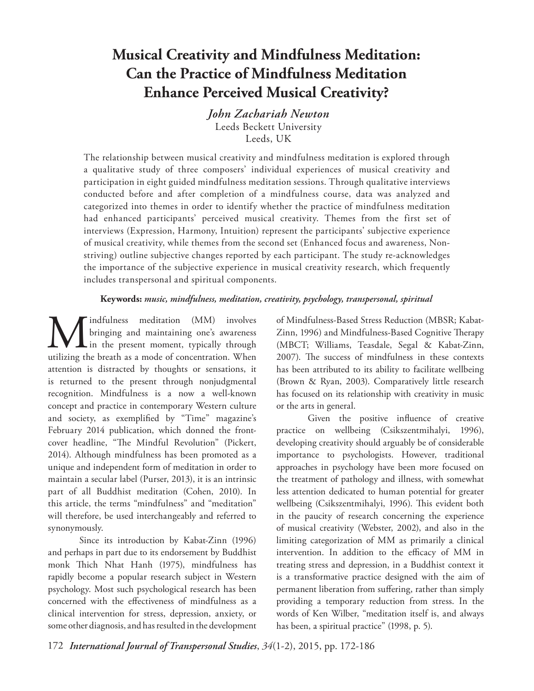# **Musical Creativity and Mindfulness Meditation: Can the Practice of Mindfulness Meditation Enhance Perceived Musical Creativity?**

*John Zachariah Newton* Leeds Beckett University Leeds, UK

The relationship between musical creativity and mindfulness meditation is explored through a qualitative study of three composers' individual experiences of musical creativity and participation in eight guided mindfulness meditation sessions. Through qualitative interviews conducted before and after completion of a mindfulness course, data was analyzed and categorized into themes in order to identify whether the practice of mindfulness meditation had enhanced participants' perceived musical creativity. Themes from the first set of interviews (Expression, Harmony, Intuition) represent the participants' subjective experience of musical creativity, while themes from the second set (Enhanced focus and awareness, Nonstriving) outline subjective changes reported by each participant. The study re-acknowledges the importance of the subjective experience in musical creativity research, which frequently includes transpersonal and spiritual components.

## **Keywords:** *music, mindfulness, meditation, creativity, psychology, transpersonal, spiritual*

**M** indfulness meditation (MM) involves<br>in the present moment, typically through<br>utilizing the breath as a mode of concentration. When bringing and maintaining one's awareness  $\perp$  in the present moment, typically through utilizing the breath as a mode of concentration. When attention is distracted by thoughts or sensations, it is returned to the present through nonjudgmental recognition. Mindfulness is a now a well-known concept and practice in contemporary Western culture and society, as exemplified by "Time" magazine's February 2014 publication, which donned the frontcover headline, "The Mindful Revolution" (Pickert, 2014). Although mindfulness has been promoted as a unique and independent form of meditation in order to maintain a secular label (Purser, 2013), it is an intrinsic part of all Buddhist meditation (Cohen, 2010). In this article, the terms "mindfulness" and "meditation" will therefore, be used interchangeably and referred to synonymously.

Since its introduction by Kabat-Zinn (1996) and perhaps in part due to its endorsement by Buddhist monk Thich Nhat Hanh (1975), mindfulness has rapidly become a popular research subject in Western psychology. Most such psychological research has been concerned with the effectiveness of mindfulness as a clinical intervention for stress, depression, anxiety, or some other diagnosis, and has resulted in the development of Mindfulness-Based Stress Reduction (MBSR; Kabat-Zinn, 1996) and Mindfulness-Based Cognitive Therapy (MBCT; Williams, Teasdale, Segal & Kabat-Zinn, 2007). The success of mindfulness in these contexts has been attributed to its ability to facilitate wellbeing (Brown & Ryan, 2003). Comparatively little research has focused on its relationship with creativity in music or the arts in general.

Given the positive influence of creative practice on wellbeing (Csikszentmihalyi, 1996), developing creativity should arguably be of considerable importance to psychologists. However, traditional approaches in psychology have been more focused on the treatment of pathology and illness, with somewhat less attention dedicated to human potential for greater wellbeing (Csikszentmihalyi, 1996). This evident both in the paucity of research concerning the experience of musical creativity (Webster, 2002), and also in the limiting categorization of MM as primarily a clinical intervention. In addition to the efficacy of MM in treating stress and depression, in a Buddhist context it is a transformative practice designed with the aim of permanent liberation from suffering, rather than simply providing a temporary reduction from stress. In the words of Ken Wilber, "meditation itself is, and always has been, a spiritual practice" (1998, p. 5).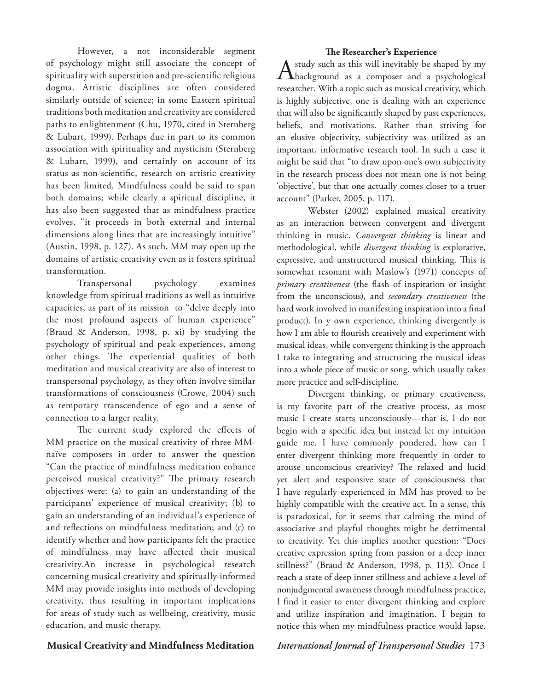However, a not inconsiderable segment of psychology might still associate the concept of spirituality with superstition and pre-scientific religious dogma. Artistic disciplines are often considered similarly outside of science; in some Eastern spiritual traditions both meditation and creativity are considered paths to enlightenment (Chu, 1970, cited in Sternberg & Lubart, 1999). Perhaps due in part to its common association with spirituality and mysticism (Sternberg & Lubart, 1999), and certainly on account of its status as non-scientific, research on artistic creativity has been limited. Mindfulness could be said to span both domains; while clearly a spiritual discipline, it has also been suggested that as mindfulness practice evolves, "it proceeds in both external and internal dimensions along lines that are increasingly intuitive" (Austin, 1998, p. 127). As such, MM may open up the domains of artistic creativity even as it fosters spiritual transformation.

Transpersonal psychology examines knowledge from spiritual traditions as well as intuitive capacities, as part of its mission to "delve deeply into the most profound aspects of human experience" (Braud & Anderson, 1998, p. xi) by studying the psychology of spiritual and peak experiences, among other things. The experiential qualities of both meditation and musical creativity are also of interest to transpersonal psychology, as they often involve similar transformations of consciousness (Crowe, 2004) such as temporary transcendence of ego and a sense of connection to a larger reality.

The current study explored the effects of MM practice on the musical creativity of three MMnaïve composers in order to answer the question "Can the practice of mindfulness meditation enhance perceived musical creativity?" The primary research objectives were: (a) to gain an understanding of the participants' experience of musical creativity; (b) to gain an understanding of an individual's experience of and reflections on mindfulness meditation; and (c) to identify whether and how participants felt the practice of mindfulness may have affected their musical creativity.An increase in psychological research concerning musical creativity and spiritually-informed MM may provide insights into methods of developing creativity, thus resulting in important implications for areas of study such as wellbeing, creativity, music education, and music therapy.

**The Researcher's Experience** A study such as this will inevitably be shaped by my<br>
background as a composer and a psychological researcher. With a topic such as musical creativity, which is highly subjective, one is dealing with an experience that will also be significantly shaped by past experiences, beliefs, and motivations. Rather than striving for an elusive objectivity, subjectivity was utilized as an important, informative research tool. In such a case it might be said that "to draw upon one's own subjectivity in the research process does not mean one is not being 'objective', but that one actually comes closer to a truer account" (Parker, 2005, p. 117).

Webster (2002) explained musical creativity as an interaction between convergent and divergent thinking in music. *Convergent thinking* is linear and methodological, while *divergent thinking* is explorative, expressive, and unstructured musical thinking. This is somewhat resonant with Maslow's (1971) concepts of *primary creativeness* (the flash of inspiration or insight from the unconscious), and *secondary creativeness* (the hard work involved in manifesting inspiration into a final product). In y own experience, thinking divergently is how I am able to flourish creatively and experiment with musical ideas, while convergent thinking is the approach I take to integrating and structuring the musical ideas into a whole piece of music or song, which usually takes more practice and self-discipline.

Divergent thinking, or primary creativeness, is my favorite part of the creative process, as most music I create starts unconsciously—that is, I do not begin with a specific idea but instead let my intuition guide me. I have commonly pondered, how can I enter divergent thinking more frequently in order to arouse unconscious creativity? The relaxed and lucid yet alert and responsive state of consciousness that I have regularly experienced in MM has proved to be highly compatible with the creative act. In a sense, this is paradoxical, for it seems that calming the mind of associative and playful thoughts might be detrimental to creativity. Yet this implies another question: "Does creative expression spring from passion or a deep inner stillness?" (Braud & Anderson, 1998, p. 113). Once I reach a state of deep inner stillness and achieve a level of nonjudgmental awareness through mindfulness practice, I find it easier to enter divergent thinking and explore and utilize inspiration and imagination. I began to notice this when my mindfulness practice would lapse.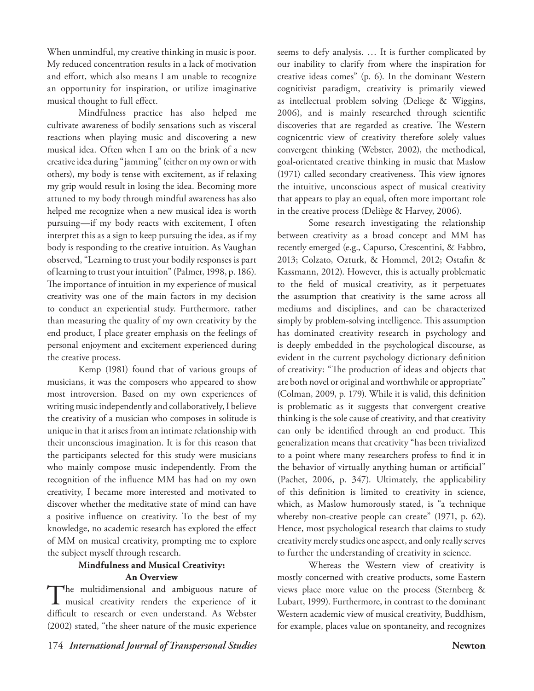When unmindful, my creative thinking in music is poor. My reduced concentration results in a lack of motivation and effort, which also means I am unable to recognize an opportunity for inspiration, or utilize imaginative musical thought to full effect.

Mindfulness practice has also helped me cultivate awareness of bodily sensations such as visceral reactions when playing music and discovering a new musical idea. Often when I am on the brink of a new creative idea during "jamming" (either on my own or with others), my body is tense with excitement, as if relaxing my grip would result in losing the idea. Becoming more attuned to my body through mindful awareness has also helped me recognize when a new musical idea is worth pursuing—if my body reacts with excitement, I often interpret this as a sign to keep pursuing the idea, as if my body is responding to the creative intuition. As Vaughan observed, "Learning to trust your bodily responses is part of learning to trust your intuition" (Palmer, 1998, p. 186). The importance of intuition in my experience of musical creativity was one of the main factors in my decision to conduct an experiential study. Furthermore, rather than measuring the quality of my own creativity by the end product, I place greater emphasis on the feelings of personal enjoyment and excitement experienced during the creative process.

Kemp (1981) found that of various groups of musicians, it was the composers who appeared to show most introversion. Based on my own experiences of writing music independently and collaboratively, I believe the creativity of a musician who composes in solitude is unique in that it arises from an intimate relationship with their unconscious imagination. It is for this reason that the participants selected for this study were musicians who mainly compose music independently. From the recognition of the influence MM has had on my own creativity, I became more interested and motivated to discover whether the meditative state of mind can have a positive influence on creativity. To the best of my knowledge, no academic research has explored the effect of MM on musical creativity, prompting me to explore the subject myself through research.

# **Mindfulness and Musical Creativity: An Overview**

The multidimensional and ambiguous nature of musical creativity renders the experience of it difficult to research or even understand. As Webster (2002) stated, "the sheer nature of the music experience

seems to defy analysis. … It is further complicated by our inability to clarify from where the inspiration for creative ideas comes" (p. 6). In the dominant Western cognitivist paradigm, creativity is primarily viewed as intellectual problem solving (Deliege & Wiggins, 2006), and is mainly researched through scientific discoveries that are regarded as creative. The Western cognicentric view of creativity therefore solely values convergent thinking (Webster, 2002), the methodical, goal-orientated creative thinking in music that Maslow (1971) called secondary creativeness. This view ignores the intuitive, unconscious aspect of musical creativity that appears to play an equal, often more important role in the creative process (Deliège & Harvey, 2006).

Some research investigating the relationship between creativity as a broad concept and MM has recently emerged (e.g., Capurso, Crescentini, & Fabbro, 2013; Colzato, Ozturk, & Hommel, 2012; Ostafin & Kassmann, 2012). However, this is actually problematic to the field of musical creativity, as it perpetuates the assumption that creativity is the same across all mediums and disciplines, and can be characterized simply by problem-solving intelligence. This assumption has dominated creativity research in psychology and is deeply embedded in the psychological discourse, as evident in the current psychology dictionary definition of creativity: "The production of ideas and objects that are both novel or original and worthwhile or appropriate" (Colman, 2009, p. 179). While it is valid, this definition is problematic as it suggests that convergent creative thinking is the sole cause of creativity, and that creativity can only be identified through an end product. This generalization means that creativity "has been trivialized to a point where many researchers profess to find it in the behavior of virtually anything human or artificial" (Pachet, 2006, p. 347). Ultimately, the applicability of this definition is limited to creativity in science, which, as Maslow humorously stated, is "a technique whereby non-creative people can create" (1971, p. 62). Hence, most psychological research that claims to study creativity merely studies one aspect, and only really serves to further the understanding of creativity in science.

Whereas the Western view of creativity is mostly concerned with creative products, some Eastern views place more value on the process (Sternberg & Lubart, 1999). Furthermore, in contrast to the dominant Western academic view of musical creativity, Buddhism, for example, places value on spontaneity, and recognizes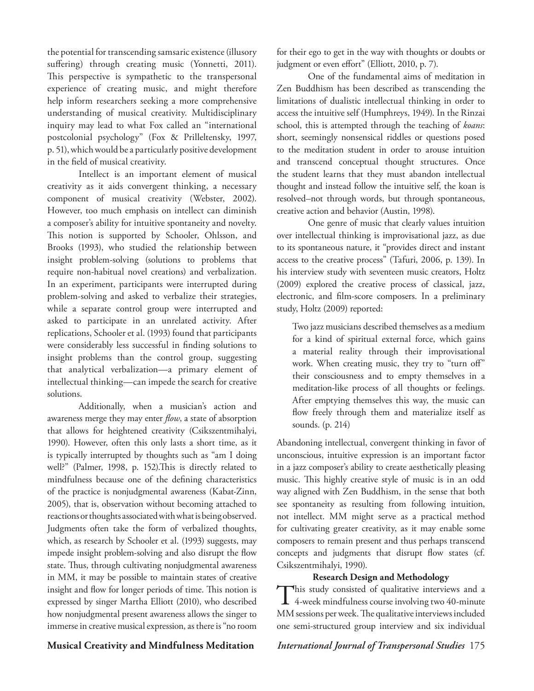the potential for transcending samsaric existence (illusory suffering) through creating music (Yonnetti, 2011). This perspective is sympathetic to the transpersonal experience of creating music, and might therefore help inform researchers seeking a more comprehensive understanding of musical creativity. Multidisciplinary inquiry may lead to what Fox called an "international postcolonial psychology" (Fox & Prilleltensky, 1997, p. 51), which would be a particularly positive development in the field of musical creativity.

Intellect is an important element of musical creativity as it aids convergent thinking, a necessary component of musical creativity (Webster, 2002). However, too much emphasis on intellect can diminish a composer's ability for intuitive spontaneity and novelty. This notion is supported by Schooler, Ohlsson, and Brooks (1993), who studied the relationship between insight problem-solving (solutions to problems that require non-habitual novel creations) and verbalization. In an experiment, participants were interrupted during problem-solving and asked to verbalize their strategies, while a separate control group were interrupted and asked to participate in an unrelated activity. After replications, Schooler et al. (1993) found that participants were considerably less successful in finding solutions to insight problems than the control group, suggesting that analytical verbalization—a primary element of intellectual thinking—can impede the search for creative solutions.

Additionally, when a musician's action and awareness merge they may enter *flow*, a state of absorption that allows for heightened creativity (Csikszentmihalyi, 1990). However, often this only lasts a short time, as it is typically interrupted by thoughts such as "am I doing well?" (Palmer, 1998, p. 152).This is directly related to mindfulness because one of the defining characteristics of the practice is nonjudgmental awareness (Kabat-Zinn, 2005), that is, observation without becoming attached to reactions or thoughts associated with what is being observed. Judgments often take the form of verbalized thoughts, which, as research by Schooler et al. (1993) suggests, may impede insight problem-solving and also disrupt the flow state. Thus, through cultivating nonjudgmental awareness in MM, it may be possible to maintain states of creative insight and flow for longer periods of time. This notion is expressed by singer Martha Elliott (2010), who described how nonjudgmental present awareness allows the singer to immerse in creative musical expression, as there is "no room

for their ego to get in the way with thoughts or doubts or judgment or even effort" (Elliott, 2010, p. 7).

One of the fundamental aims of meditation in Zen Buddhism has been described as transcending the limitations of dualistic intellectual thinking in order to access the intuitive self (Humphreys, 1949). In the Rinzai school, this is attempted through the teaching of *koans*: short, seemingly nonsensical riddles or questions posed to the meditation student in order to arouse intuition and transcend conceptual thought structures. Once the student learns that they must abandon intellectual thought and instead follow the intuitive self, the koan is resolved–not through words, but through spontaneous, creative action and behavior (Austin, 1998).

One genre of music that clearly values intuition over intellectual thinking is improvisational jazz, as due to its spontaneous nature, it "provides direct and instant access to the creative process" (Tafuri, 2006, p. 139). In his interview study with seventeen music creators, Holtz (2009) explored the creative process of classical, jazz, electronic, and film-score composers. In a preliminary study, Holtz (2009) reported:

Two jazz musicians described themselves as a medium for a kind of spiritual external force, which gains a material reality through their improvisational work. When creating music, they try to "turn off" their consciousness and to empty themselves in a meditation-like process of all thoughts or feelings. After emptying themselves this way, the music can flow freely through them and materialize itself as sounds. (p. 214)

Abandoning intellectual, convergent thinking in favor of unconscious, intuitive expression is an important factor in a jazz composer's ability to create aesthetically pleasing music. This highly creative style of music is in an odd way aligned with Zen Buddhism, in the sense that both see spontaneity as resulting from following intuition, not intellect. MM might serve as a practical method for cultivating greater creativity, as it may enable some composers to remain present and thus perhaps transcend concepts and judgments that disrupt flow states (cf. Csikszentmihalyi, 1990).

# **Research Design and Methodology**

This study consisted of qualitative interviews and a 4-week mindfulness course involving two 40-minute MM sessions per week. The qualitative interviews included one semi-structured group interview and six individual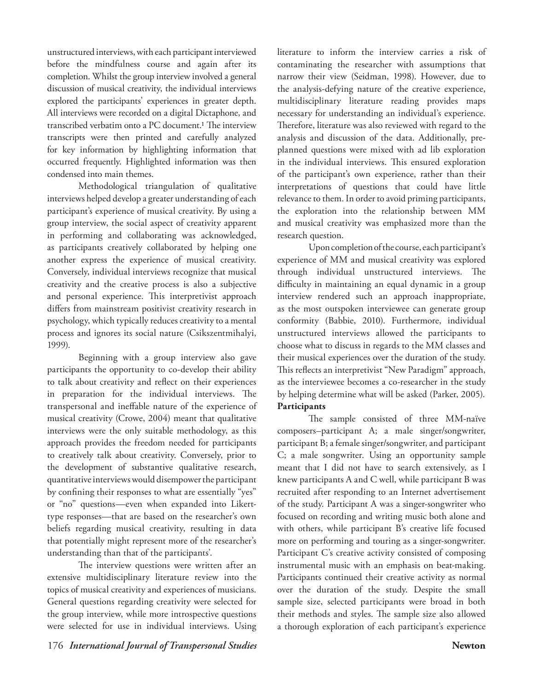unstructured interviews, with each participant interviewed before the mindfulness course and again after its completion. Whilst the group interview involved a general discussion of musical creativity, the individual interviews explored the participants' experiences in greater depth. All interviews were recorded on a digital Dictaphone, and transcribed verbatim onto a PC document.1 The interview transcripts were then printed and carefully analyzed for key information by highlighting information that occurred frequently. Highlighted information was then condensed into main themes.

Methodological triangulation of qualitative interviews helped develop a greater understanding of each participant's experience of musical creativity. By using a group interview, the social aspect of creativity apparent in performing and collaborating was acknowledged, as participants creatively collaborated by helping one another express the experience of musical creativity. Conversely, individual interviews recognize that musical creativity and the creative process is also a subjective and personal experience. This interpretivist approach differs from mainstream positivist creativity research in psychology, which typically reduces creativity to a mental process and ignores its social nature (Csikszentmihalyi, 1999).

Beginning with a group interview also gave participants the opportunity to co-develop their ability to talk about creativity and reflect on their experiences in preparation for the individual interviews. The transpersonal and ineffable nature of the experience of musical creativity (Crowe, 2004) meant that qualitative interviews were the only suitable methodology, as this approach provides the freedom needed for participants to creatively talk about creativity. Conversely, prior to the development of substantive qualitative research, quantitative interviews would disempower the participant by confining their responses to what are essentially "yes" or "no" questions—even when expanded into Likerttype responses—that are based on the researcher's own beliefs regarding musical creativity, resulting in data that potentially might represent more of the researcher's understanding than that of the participants'.

The interview questions were written after an extensive multidisciplinary literature review into the topics of musical creativity and experiences of musicians. General questions regarding creativity were selected for the group interview, while more introspective questions were selected for use in individual interviews. Using literature to inform the interview carries a risk of contaminating the researcher with assumptions that narrow their view (Seidman, 1998). However, due to the analysis-defying nature of the creative experience, multidisciplinary literature reading provides maps necessary for understanding an individual's experience. Therefore, literature was also reviewed with regard to the analysis and discussion of the data. Additionally, preplanned questions were mixed with ad lib exploration in the individual interviews. This ensured exploration of the participant's own experience, rather than their interpretations of questions that could have little relevance to them. In order to avoid priming participants, the exploration into the relationship between MM and musical creativity was emphasized more than the research question.

Upon completion of the course, each participant's experience of MM and musical creativity was explored through individual unstructured interviews. The difficulty in maintaining an equal dynamic in a group interview rendered such an approach inappropriate, as the most outspoken interviewee can generate group conformity (Babbie, 2010). Furthermore, individual unstructured interviews allowed the participants to choose what to discuss in regards to the MM classes and their musical experiences over the duration of the study. This reflects an interpretivist "New Paradigm" approach, as the interviewee becomes a co-researcher in the study by helping determine what will be asked (Parker, 2005). **Participants**

The sample consisted of three MM-naïve composers–participant A; a male singer/songwriter, participant B; a female singer/songwriter, and participant C; a male songwriter. Using an opportunity sample meant that I did not have to search extensively, as I knew participants A and C well, while participant B was recruited after responding to an Internet advertisement of the study. Participant A was a singer-songwriter who focused on recording and writing music both alone and with others, while participant B's creative life focused more on performing and touring as a singer-songwriter. Participant C's creative activity consisted of composing instrumental music with an emphasis on beat-making. Participants continued their creative activity as normal over the duration of the study. Despite the small sample size, selected participants were broad in both their methods and styles. The sample size also allowed a thorough exploration of each participant's experience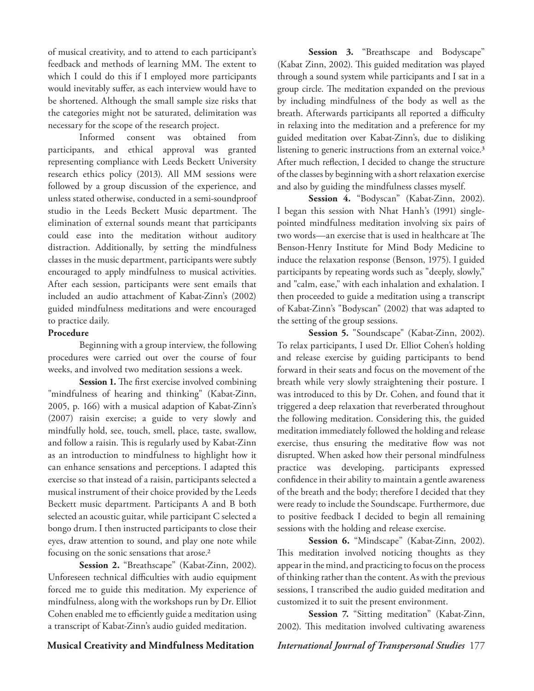of musical creativity, and to attend to each participant's feedback and methods of learning MM. The extent to which I could do this if I employed more participants would inevitably suffer, as each interview would have to be shortened. Although the small sample size risks that the categories might not be saturated, delimitation was necessary for the scope of the research project.

Informed consent was obtained from participants, and ethical approval was granted representing compliance with Leeds Beckett University research ethics policy (2013). All MM sessions were followed by a group discussion of the experience, and unless stated otherwise, conducted in a semi-soundproof studio in the Leeds Beckett Music department. The elimination of external sounds meant that participants could ease into the meditation without auditory distraction. Additionally, by setting the mindfulness classes in the music department, participants were subtly encouraged to apply mindfulness to musical activities. After each session, participants were sent emails that included an audio attachment of Kabat-Zinn's (2002) guided mindfulness meditations and were encouraged to practice daily.

## **Procedure**

Beginning with a group interview, the following procedures were carried out over the course of four weeks, and involved two meditation sessions a week.

Session 1. The first exercise involved combining "mindfulness of hearing and thinking" (Kabat-Zinn, 2005, p. 166) with a musical adaption of Kabat-Zinn's (2007) raisin exercise; a guide to very slowly and mindfully hold, see, touch, smell, place, taste, swallow, and follow a raisin. This is regularly used by Kabat-Zinn as an introduction to mindfulness to highlight how it can enhance sensations and perceptions. I adapted this exercise so that instead of a raisin, participants selected a musical instrument of their choice provided by the Leeds Beckett music department. Participants A and B both selected an acoustic guitar, while participant C selected a bongo drum. I then instructed participants to close their eyes, draw attention to sound, and play one note while focusing on the sonic sensations that arose.2

**Session 2.** "Breathscape" (Kabat-Zinn, 2002). Unforeseen technical difficulties with audio equipment forced me to guide this meditation. My experience of mindfulness, along with the workshops run by Dr. Elliot Cohen enabled me to efficiently guide a meditation using a transcript of Kabat-Zinn's audio guided meditation.

**Session 3.** "Breathscape and Bodyscape" (Kabat Zinn, 2002). This guided meditation was played through a sound system while participants and I sat in a group circle. The meditation expanded on the previous by including mindfulness of the body as well as the breath. Afterwards participants all reported a difficulty in relaxing into the meditation and a preference for my guided meditation over Kabat-Zinn's, due to disliking listening to generic instructions from an external voice.<sup>3</sup> After much reflection, I decided to change the structure of the classes by beginning with a short relaxation exercise and also by guiding the mindfulness classes myself.

**Session 4***.* "Bodyscan" (Kabat-Zinn, 2002). I began this session with Nhat Hanh's (1991) singlepointed mindfulness meditation involving six pairs of two words—an exercise that is used in healthcare at The Benson-Henry Institute for Mind Body Medicine to induce the relaxation response (Benson, 1975). I guided participants by repeating words such as "deeply, slowly," and "calm, ease," with each inhalation and exhalation. I then proceeded to guide a meditation using a transcript of Kabat-Zinn's "Bodyscan" (2002) that was adapted to the setting of the group sessions.

**Session 5***.* "Soundscape" (Kabat-Zinn, 2002). To relax participants, I used Dr. Elliot Cohen's holding and release exercise by guiding participants to bend forward in their seats and focus on the movement of the breath while very slowly straightening their posture. I was introduced to this by Dr. Cohen, and found that it triggered a deep relaxation that reverberated throughout the following meditation. Considering this, the guided meditation immediately followed the holding and release exercise, thus ensuring the meditative flow was not disrupted. When asked how their personal mindfulness practice was developing, participants expressed confidence in their ability to maintain a gentle awareness of the breath and the body; therefore I decided that they were ready to include the Soundscape. Furthermore, due to positive feedback I decided to begin all remaining sessions with the holding and release exercise.

**Session 6.** "Mindscape" (Kabat-Zinn, 2002). This meditation involved noticing thoughts as they appear in the mind, and practicing to focus on the process of thinking rather than the content. As with the previous sessions, I transcribed the audio guided meditation and customized it to suit the present environment.

**Session 7.** "Sitting meditation" (Kabat-Zinn, 2002). This meditation involved cultivating awareness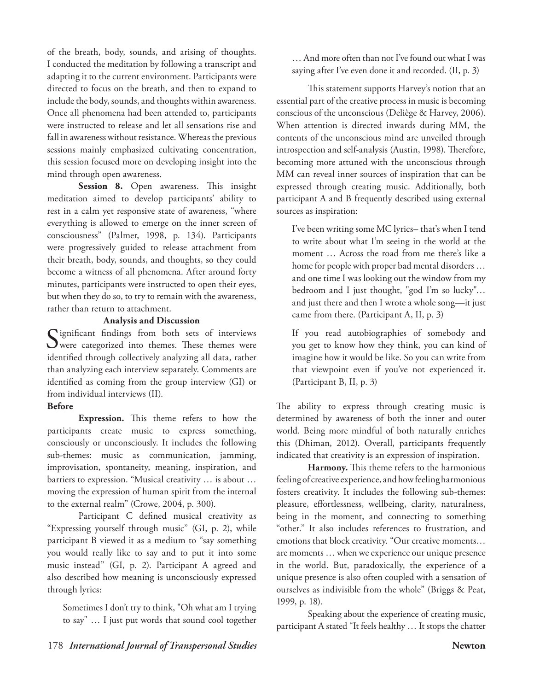of the breath, body, sounds, and arising of thoughts. I conducted the meditation by following a transcript and adapting it to the current environment. Participants were directed to focus on the breath, and then to expand to include the body, sounds, and thoughts within awareness. Once all phenomena had been attended to, participants were instructed to release and let all sensations rise and fall in awareness without resistance. Whereas the previous sessions mainly emphasized cultivating concentration, this session focused more on developing insight into the mind through open awareness.

**Session 8.** Open awareness. This insight meditation aimed to develop participants' ability to rest in a calm yet responsive state of awareness, "where everything is allowed to emerge on the inner screen of consciousness" (Palmer, 1998, p. 134). Participants were progressively guided to release attachment from their breath, body, sounds, and thoughts, so they could become a witness of all phenomena. After around forty minutes, participants were instructed to open their eyes, but when they do so, to try to remain with the awareness, rather than return to attachment.

## **Analysis and Discussion**

Significant findings from both sets of interviews<br>
were categorized into themes. These themes were identified through collectively analyzing all data, rather than analyzing each interview separately. Comments are identified as coming from the group interview (GI) or from individual interviews (II).

## **Before**

**Expression.** This theme refers to how the participants create music to express something, consciously or unconsciously. It includes the following sub-themes: music as communication, jamming, improvisation, spontaneity, meaning, inspiration, and barriers to expression. "Musical creativity … is about … moving the expression of human spirit from the internal to the external realm" (Crowe, 2004, p. 300).

Participant C defined musical creativity as "Expressing yourself through music" (GI, p. 2), while participant B viewed it as a medium to "say something you would really like to say and to put it into some music instead" (GI, p. 2). Participant A agreed and also described how meaning is unconsciously expressed through lyrics:

Sometimes I don't try to think, "Oh what am I trying to say" … I just put words that sound cool together

… And more often than not I've found out what I was saying after I've even done it and recorded. (II, p. 3)

This statement supports Harvey's notion that an essential part of the creative process in music is becoming conscious of the unconscious (Deliège & Harvey, 2006). When attention is directed inwards during MM, the contents of the unconscious mind are unveiled through introspection and self-analysis (Austin, 1998). Therefore, becoming more attuned with the unconscious through MM can reveal inner sources of inspiration that can be expressed through creating music. Additionally, both participant A and B frequently described using external sources as inspiration:

I've been writing some MC lyrics– that's when I tend to write about what I'm seeing in the world at the moment … Across the road from me there's like a home for people with proper bad mental disorders … and one time I was looking out the window from my bedroom and I just thought, "god I'm so lucky"… and just there and then I wrote a whole song—it just came from there. (Participant A, II, p. 3)

If you read autobiographies of somebody and you get to know how they think, you can kind of imagine how it would be like. So you can write from that viewpoint even if you've not experienced it. (Participant B, II, p. 3)

The ability to express through creating music is determined by awareness of both the inner and outer world. Being more mindful of both naturally enriches this (Dhiman, 2012). Overall, participants frequently indicated that creativity is an expression of inspiration.

**Harmony.** This theme refers to the harmonious feeling of creative experience, and how feeling harmonious fosters creativity. It includes the following sub-themes: pleasure, effortlessness, wellbeing, clarity, naturalness, being in the moment, and connecting to something "other." It also includes references to frustration, and emotions that block creativity. "Our creative moments… are moments … when we experience our unique presence in the world. But, paradoxically, the experience of a unique presence is also often coupled with a sensation of ourselves as indivisible from the whole" (Briggs & Peat, 1999, p. 18).

Speaking about the experience of creating music, participant A stated "It feels healthy … It stops the chatter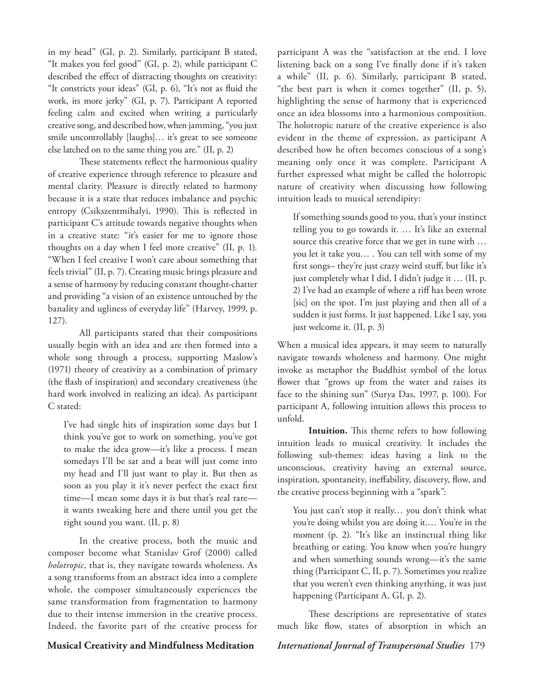in my head" (GI, p. 2). Similarly, participant B stated, "It makes you feel good" (GI, p. 2), while participant C described the effect of distracting thoughts on creativity: "It constricts your ideas" (GI, p. 6), "It's not as fluid the work, its more jerky" (GI, p. 7). Participant A reported feeling calm and excited when writing a particularly creative song, and described how, when jamming, "you just smile uncontrollably [laughs]… it's great to see someone else latched on to the same thing you are." (II, p. 2)

These statements reflect the harmonious quality of creative experience through reference to pleasure and mental clarity. Pleasure is directly related to harmony because it is a state that reduces imbalance and psychic entropy (Csikszentmihalyi, 1990). This is reflected in participant C's attitude towards negative thoughts when in a creative state: "it's easier for me to ignore those thoughts on a day when I feel more creative" (II, p. 1). "When I feel creative I won't care about something that feels trivial" (II, p. 7). Creating music brings pleasure and a sense of harmony by reducing constant thought-chatter and providing "a vision of an existence untouched by the banality and ugliness of everyday life" (Harvey, 1999, p. 127).

All participants stated that their compositions usually begin with an idea and are then formed into a whole song through a process, supporting Maslow's (1971) theory of creativity as a combination of primary (the flash of inspiration) and secondary creativeness (the hard work involved in realizing an idea). As participant C stated:

I've had single hits of inspiration some days but I think you've got to work on something, you've got to make the idea grow—it's like a process. I mean somedays I'll be sat and a beat will just come into my head and I'll just want to play it. But then as soon as you play it it's never perfect the exact first time—I mean some days it is but that's real rare it wants tweaking here and there until you get the right sound you want. (II, p. 8)

In the creative process, both the music and composer become what Stanislav Grof (2000) called *holotropic*, that is, they navigate towards wholeness. As a song transforms from an abstract idea into a complete whole, the composer simultaneously experiences the same transformation from fragmentation to harmony due to their intense immersion in the creative process. Indeed, the favorite part of the creative process for

participant A was the "satisfaction at the end. I love listening back on a song I've finally done if it's taken a while" (II, p. 6). Similarly, participant B stated, "the best part is when it comes together" (II, p. 5), highlighting the sense of harmony that is experienced once an idea blossoms into a harmonious composition. The holotropic nature of the creative experience is also evident in the theme of expression, as participant A described how he often becomes conscious of a song's meaning only once it was complete. Participant A further expressed what might be called the holotropic nature of creativity when discussing how following intuition leads to musical serendipity:

If something sounds good to you, that's your instinct telling you to go towards it. … It's like an external source this creative force that we get in tune with … you let it take you… . You can tell with some of my first songs– they're just crazy weird stuff, but like it's just completely what I did, I didn't judge it … (II, p. 2) I've had an example of where a riff has been wrote [sic] on the spot. I'm just playing and then all of a sudden it just forms. It just happened. Like I say, you just welcome it. (II, p. 3)

When a musical idea appears, it may seem to naturally navigate towards wholeness and harmony. One might invoke as metaphor the Buddhist symbol of the lotus flower that "grows up from the water and raises its face to the shining sun" (Surya Das, 1997, p. 100). For participant A, following intuition allows this process to unfold.

**Intuition.** This theme refers to how following intuition leads to musical creativity. It includes the following sub-themes: ideas having a link to the unconscious, creativity having an external source, inspiration, spontaneity, ineffability, discovery, flow, and the creative process beginning with a "spark":

You just can't stop it really… you don't think what you're doing whilst you are doing it.… You're in the moment (p. 2). "It's like an instinctual thing like breathing or eating. You know when you're hungry and when something sounds wrong—it's the same thing (Participant C, II, p. 7). Sometimes you realize that you weren't even thinking anything, it was just happening (Participant A, GI, p. 2).

These descriptions are representative of states much like flow, states of absorption in which an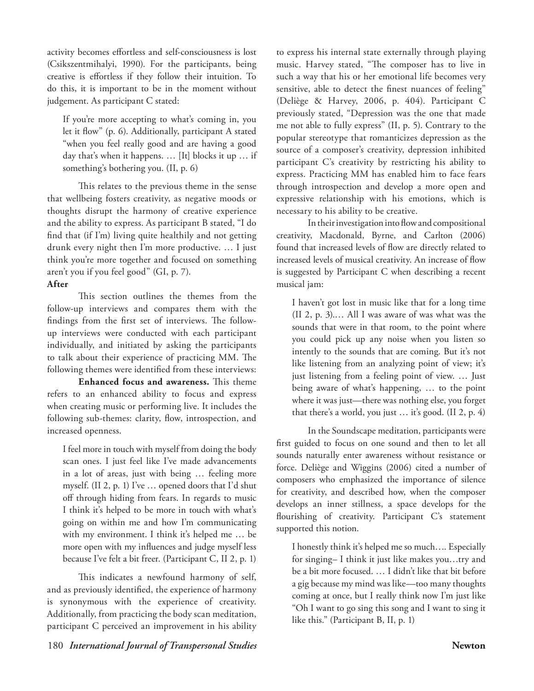activity becomes effortless and self-consciousness is lost (Csikszentmihalyi, 1990). For the participants, being creative is effortless if they follow their intuition. To do this, it is important to be in the moment without judgement. As participant C stated:

If you're more accepting to what's coming in, you let it flow" (p. 6). Additionally, participant A stated "when you feel really good and are having a good day that's when it happens. … [It] blocks it up … if something's bothering you. (II, p. 6)

This relates to the previous theme in the sense that wellbeing fosters creativity, as negative moods or thoughts disrupt the harmony of creative experience and the ability to express. As participant B stated, "I do find that (if I'm) living quite healthily and not getting drunk every night then I'm more productive. … I just think you're more together and focused on something aren't you if you feel good" (GI, p. 7).

# **After**

This section outlines the themes from the follow-up interviews and compares them with the findings from the first set of interviews. The followup interviews were conducted with each participant individually, and initiated by asking the participants to talk about their experience of practicing MM. The following themes were identified from these interviews:

**Enhanced focus and awareness.** This theme refers to an enhanced ability to focus and express when creating music or performing live. It includes the following sub-themes: clarity, flow, introspection, and increased openness.

I feel more in touch with myself from doing the body scan ones. I just feel like I've made advancements in a lot of areas, just with being … feeling more myself. (II 2, p. 1) I've … opened doors that I'd shut off through hiding from fears. In regards to music I think it's helped to be more in touch with what's going on within me and how I'm communicating with my environment. I think it's helped me … be more open with my influences and judge myself less because I've felt a bit freer. (Participant C, II 2, p. 1)

This indicates a newfound harmony of self, and as previously identified, the experience of harmony is synonymous with the experience of creativity. Additionally, from practicing the body scan meditation, participant C perceived an improvement in his ability to express his internal state externally through playing music. Harvey stated, "The composer has to live in such a way that his or her emotional life becomes very sensitive, able to detect the finest nuances of feeling" (Deliège & Harvey, 2006, p. 404). Participant C previously stated, "Depression was the one that made me not able to fully express" (II, p. 5). Contrary to the popular stereotype that romanticizes depression as the source of a composer's creativity, depression inhibited participant C's creativity by restricting his ability to express. Practicing MM has enabled him to face fears through introspection and develop a more open and expressive relationship with his emotions, which is necessary to his ability to be creative.

In their investigation into flow and compositional creativity, Macdonald, Byrne, and Carlton (2006) found that increased levels of flow are directly related to increased levels of musical creativity. An increase of flow is suggested by Participant C when describing a recent musical jam:

I haven't got lost in music like that for a long time (II 2, p. 3).… All I was aware of was what was the sounds that were in that room, to the point where you could pick up any noise when you listen so intently to the sounds that are coming. But it's not like listening from an analyzing point of view; it's just listening from a feeling point of view. … Just being aware of what's happening, … to the point where it was just—there was nothing else, you forget that there's a world, you just … it's good. (II 2, p. 4)

In the Soundscape meditation, participants were first guided to focus on one sound and then to let all sounds naturally enter awareness without resistance or force. Deliège and Wiggins (2006) cited a number of composers who emphasized the importance of silence for creativity, and described how, when the composer develops an inner stillness, a space develops for the flourishing of creativity. Participant C's statement supported this notion.

I honestly think it's helped me so much…. Especially for singing– I think it just like makes you…try and be a bit more focused. … I didn't like that bit before a gig because my mind was like—too many thoughts coming at once, but I really think now I'm just like "Oh I want to go sing this song and I want to sing it like this." (Participant B, II, p. 1)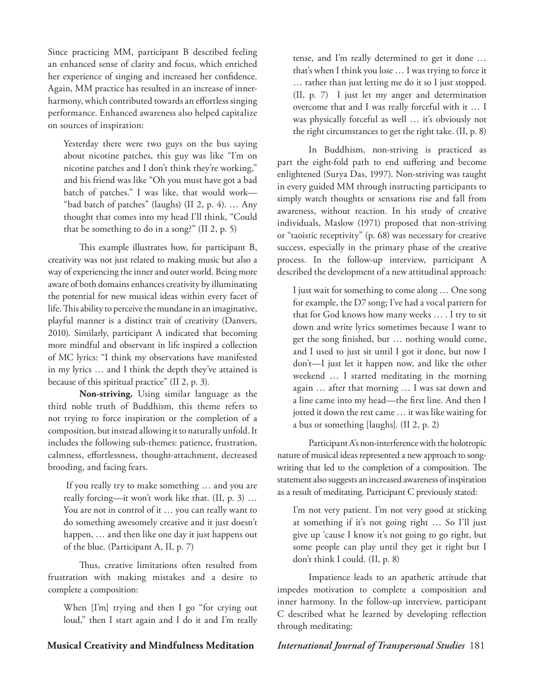Since practicing MM, participant B described feeling an enhanced sense of clarity and focus, which enriched her experience of singing and increased her confidence. Again, MM practice has resulted in an increase of innerharmony, which contributed towards an effortless singing performance. Enhanced awareness also helped capitalize on sources of inspiration:

Yesterday there were two guys on the bus saying about nicotine patches, this guy was like "I'm on nicotine patches and I don't think they're working," and his friend was like "Oh you must have got a bad batch of patches." I was like, that would work— "bad batch of patches" (laughs) (II 2, p. 4). … Any thought that comes into my head I'll think, "Could that be something to do in a song?" (II 2, p. 5)

This example illustrates how, for participant B, creativity was not just related to making music but also a way of experiencing the inner and outer world. Being more aware of both domains enhances creativity by illuminating the potential for new musical ideas within every facet of life. This ability to perceive the mundane in an imaginative, playful manner is a distinct trait of creativity (Danvers, 2010). Similarly, participant A indicated that becoming more mindful and observant in life inspired a collection of MC lyrics: "I think my observations have manifested in my lyrics … and I think the depth they've attained is because of this spiritual practice" (II 2, p. 3).

**Non-striving.** Using similar language as the third noble truth of Buddhism, this theme refers to not trying to force inspiration or the completion of a composition, but instead allowing it to naturally unfold. It includes the following sub-themes: patience, frustration, calmness, effortlessness, thought-attachment, decreased brooding, and facing fears.

 If you really try to make something … and you are really forcing—it won't work like that. (II, p. 3) … You are not in control of it … you can really want to do something awesomely creative and it just doesn't happen, … and then like one day it just happens out of the blue. (Participant A, II, p. 7)

Thus, creative limitations often resulted from frustration with making mistakes and a desire to complete a composition:

When [I'm] trying and then I go "for crying out loud," then I start again and I do it and I'm really tense, and I'm really determined to get it done … that's when I think you lose … I was trying to force it … rather than just letting me do it so I just stopped. (II, p. 7) I just let my anger and determination overcome that and I was really forceful with it … I was physically forceful as well … it's obviously not the right circumstances to get the right take. (II, p. 8)

In Buddhism, non-striving is practiced as part the eight-fold path to end suffering and become enlightened (Surya Das, 1997). Non-striving was taught in every guided MM through instructing participants to simply watch thoughts or sensations rise and fall from awareness, without reaction. In his study of creative individuals, Maslow (1971) proposed that non-striving or "taoistic receptivity" (p. 68) was necessary for creative success, especially in the primary phase of the creative process. In the follow-up interview, participant A described the development of a new attitudinal approach:

I just wait for something to come along … One song for example, the D7 song; I've had a vocal pattern for that for God knows how many weeks … . I try to sit down and write lyrics sometimes because I want to get the song finished, but … nothing would come, and I used to just sit until I got it done, but now I don't—I just let it happen now, and like the other weekend … I started meditating in the morning again … after that morning … I was sat down and a line came into my head—the first line. And then I jotted it down the rest came … it was like waiting for a bus or something [laughs]. (II 2, p. 2)

Participant A's non-interference with the holotropic nature of musical ideas represented a new approach to songwriting that led to the completion of a composition. The statement also suggests an increased awareness of inspiration as a result of meditating. Participant C previously stated:

I'm not very patient. I'm not very good at sticking at something if it's not going right … So I'll just give up 'cause I know it's not going to go right, but some people can play until they get it right but I don't think I could. (II, p. 8)

Impatience leads to an apathetic attitude that impedes motivation to complete a composition and inner harmony. In the follow-up interview, participant C described what he learned by developing reflection through meditating: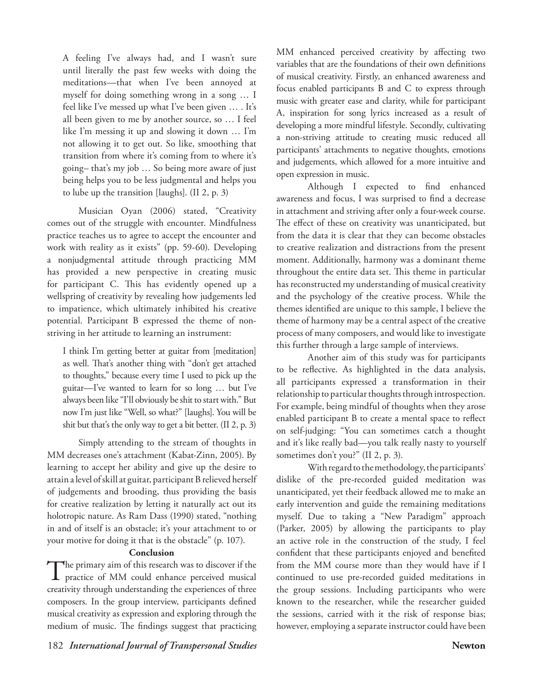A feeling I've always had, and I wasn't sure until literally the past few weeks with doing the meditations—that when I've been annoyed at myself for doing something wrong in a song … I feel like I've messed up what I've been given … . It's all been given to me by another source, so ... I feel like I'm messing it up and slowing it down … I'm not allowing it to get out. So like, smoothing that transition from where it's coming from to where it's going– that's my job … So being more aware of just being helps you to be less judgmental and helps you to lube up the transition [laughs]. (II 2, p. 3)

Musician Oyan (2006) stated, "Creativity comes out of the struggle with encounter. Mindfulness practice teaches us to agree to accept the encounter and work with reality as it exists" (pp. 59-60). Developing a nonjudgmental attitude through practicing MM has provided a new perspective in creating music for participant C. This has evidently opened up a wellspring of creativity by revealing how judgements led to impatience, which ultimately inhibited his creative potential. Participant B expressed the theme of nonstriving in her attitude to learning an instrument:

I think I'm getting better at guitar from [meditation] as well. That's another thing with "don't get attached to thoughts," because every time I used to pick up the guitar—I've wanted to learn for so long … but I've always been like "I'll obviously be shit to start with." But now I'm just like "Well, so what?" [laughs]. You will be shit but that's the only way to get a bit better. (II 2, p. 3)

Simply attending to the stream of thoughts in MM decreases one's attachment (Kabat-Zinn, 2005). By learning to accept her ability and give up the desire to attain a level of skill at guitar, participant B relieved herself of judgements and brooding, thus providing the basis for creative realization by letting it naturally act out its holotropic nature. As Ram Dass (1990) stated, "nothing in and of itself is an obstacle; it's your attachment to or your motive for doing it that is the obstacle" (p. 107).

# **Conclusion**

The primary aim of this research was to discover if the practice of MM could enhance perceived musical creativity through understanding the experiences of three composers. In the group interview, participants defined musical creativity as expression and exploring through the medium of music. The findings suggest that practicing

MM enhanced perceived creativity by affecting two variables that are the foundations of their own definitions of musical creativity. Firstly, an enhanced awareness and focus enabled participants B and C to express through music with greater ease and clarity, while for participant A, inspiration for song lyrics increased as a result of developing a more mindful lifestyle. Secondly, cultivating a non-striving attitude to creating music reduced all participants' attachments to negative thoughts, emotions and judgements, which allowed for a more intuitive and open expression in music.

Although I expected to find enhanced awareness and focus, I was surprised to find a decrease in attachment and striving after only a four-week course. The effect of these on creativity was unanticipated, but from the data it is clear that they can become obstacles to creative realization and distractions from the present moment. Additionally, harmony was a dominant theme throughout the entire data set. This theme in particular has reconstructed my understanding of musical creativity and the psychology of the creative process. While the themes identified are unique to this sample, I believe the theme of harmony may be a central aspect of the creative process of many composers, and would like to investigate this further through a large sample of interviews.

Another aim of this study was for participants to be reflective. As highlighted in the data analysis, all participants expressed a transformation in their relationship to particular thoughts through introspection. For example, being mindful of thoughts when they arose enabled participant B to create a mental space to reflect on self-judging: "You can sometimes catch a thought and it's like really bad—you talk really nasty to yourself sometimes don't you?" (II 2, p. 3).

With regard to the methodology, the participants' dislike of the pre-recorded guided meditation was unanticipated, yet their feedback allowed me to make an early intervention and guide the remaining meditations myself. Due to taking a "New Paradigm" approach (Parker, 2005) by allowing the participants to play an active role in the construction of the study, I feel confident that these participants enjoyed and benefited from the MM course more than they would have if I continued to use pre-recorded guided meditations in the group sessions. Including participants who were known to the researcher, while the researcher guided the sessions, carried with it the risk of response bias; however, employing a separate instructor could have been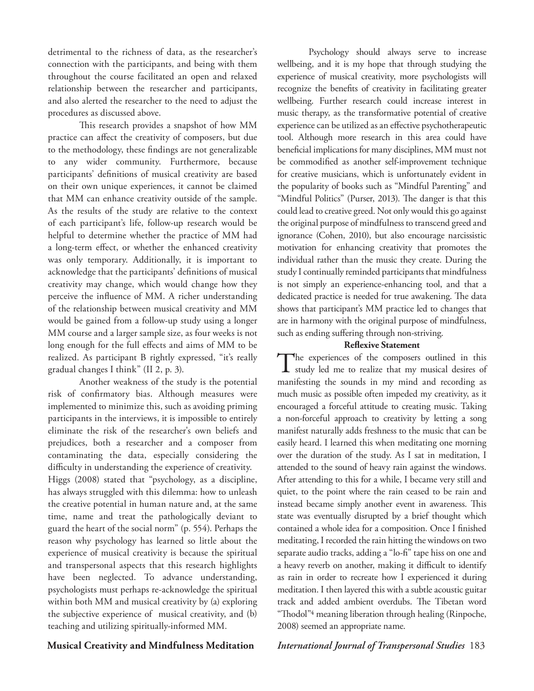detrimental to the richness of data, as the researcher's connection with the participants, and being with them throughout the course facilitated an open and relaxed relationship between the researcher and participants, and also alerted the researcher to the need to adjust the procedures as discussed above.

This research provides a snapshot of how MM practice can affect the creativity of composers, but due to the methodology, these findings are not generalizable to any wider community. Furthermore, because participants' definitions of musical creativity are based on their own unique experiences, it cannot be claimed that MM can enhance creativity outside of the sample. As the results of the study are relative to the context of each participant's life, follow-up research would be helpful to determine whether the practice of MM had a long-term effect, or whether the enhanced creativity was only temporary. Additionally, it is important to acknowledge that the participants' definitions of musical creativity may change, which would change how they perceive the influence of MM. A richer understanding of the relationship between musical creativity and MM would be gained from a follow-up study using a longer MM course and a larger sample size, as four weeks is not long enough for the full effects and aims of MM to be realized. As participant B rightly expressed, "it's really gradual changes I think" (II 2, p. 3).

Another weakness of the study is the potential risk of confirmatory bias. Although measures were implemented to minimize this, such as avoiding priming participants in the interviews, it is impossible to entirely eliminate the risk of the researcher's own beliefs and prejudices, both a researcher and a composer from contaminating the data, especially considering the difficulty in understanding the experience of creativity.

Higgs (2008) stated that "psychology, as a discipline, has always struggled with this dilemma: how to unleash the creative potential in human nature and, at the same time, name and treat the pathologically deviant to guard the heart of the social norm" (p. 554). Perhaps the reason why psychology has learned so little about the experience of musical creativity is because the spiritual and transpersonal aspects that this research highlights have been neglected. To advance understanding, psychologists must perhaps re-acknowledge the spiritual within both MM and musical creativity by (a) exploring the subjective experience of musical creativity, and (b) teaching and utilizing spiritually-informed MM.

# Psychology should always serve to increase wellbeing, and it is my hope that through studying the experience of musical creativity, more psychologists will recognize the benefits of creativity in facilitating greater wellbeing. Further research could increase interest in music therapy, as the transformative potential of creative experience can be utilized as an effective psychotherapeutic tool. Although more research in this area could have beneficial implications for many disciplines, MM must not be commodified as another self-improvement technique for creative musicians, which is unfortunately evident in the popularity of books such as "Mindful Parenting" and "Mindful Politics" (Purser, 2013). The danger is that this could lead to creative greed. Not only would this go against the original purpose of mindfulness to transcend greed and ignorance (Cohen, 2010), but also encourage narcissistic motivation for enhancing creativity that promotes the individual rather than the music they create. During the study I continually reminded participants that mindfulness is not simply an experience-enhancing tool, and that a dedicated practice is needed for true awakening. The data shows that participant's MM practice led to changes that are in harmony with the original purpose of mindfulness, such as ending suffering through non-striving.

## **Reflexive Statement**

The experiences of the composers outlined in this study led me to realize that my musical desires of manifesting the sounds in my mind and recording as much music as possible often impeded my creativity, as it encouraged a forceful attitude to creating music. Taking a non-forceful approach to creativity by letting a song manifest naturally adds freshness to the music that can be easily heard. I learned this when meditating one morning over the duration of the study. As I sat in meditation, I attended to the sound of heavy rain against the windows. After attending to this for a while, I became very still and quiet, to the point where the rain ceased to be rain and instead became simply another event in awareness. This state was eventually disrupted by a brief thought which contained a whole idea for a composition. Once I finished meditating, I recorded the rain hitting the windows on two separate audio tracks, adding a "lo-fi" tape hiss on one and a heavy reverb on another, making it difficult to identify as rain in order to recreate how I experienced it during meditation. I then layered this with a subtle acoustic guitar track and added ambient overdubs. The Tibetan word "Thodol"4 meaning liberation through healing (Rinpoche, 2008) seemed an appropriate name.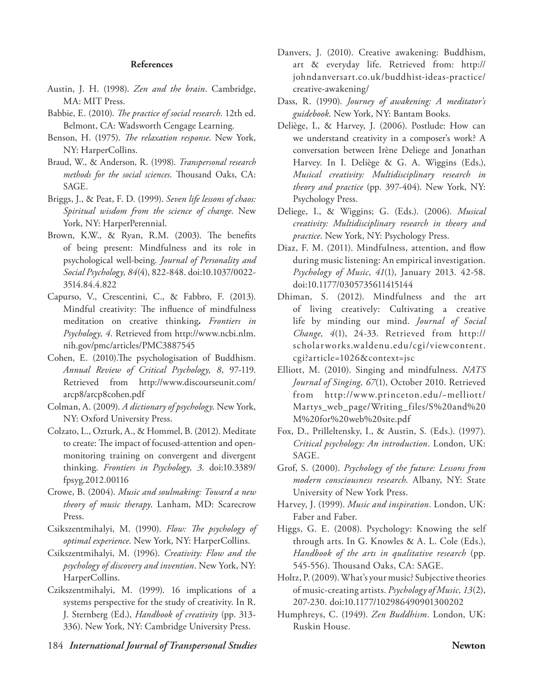### **References**

- Austin, J. H. (1998). *Zen and the brain*. Cambridge, MA: MIT Press.
- Babbie, E. (2010). *The practice of social research*. 12th ed. Belmont, CA: Wadsworth Cengage Learning.
- Benson, H. (1975). *The relaxation response*. New York, NY: HarperCollins.
- Braud, W., & Anderson, R. (1998). *Transpersonal research methods for the social sciences*. Thousand Oaks, CA: SAGE.
- Briggs, J., & Peat, F. D. (1999). *Seven life lessons of chaos: Spiritual wisdom from the science of change*. New York, NY: HarperPerennial.
- Brown, K.W., & Ryan, R.M. (2003). The benefits of being present: Mindfulness and its role in psychological well-being. *Journal of Personality and Social Psychology, 84*(4), 822-848. doi:10.1037/0022- 3514.84.4.822
- Capurso, V., Crescentini, C., & Fabbro, F. (2013). Mindful creativity: The influence of mindfulness meditation on creative thinking**.** *Frontiers in Psychology, 4*. Retrieved from http://www.ncbi.nlm. nih.gov/pmc/articles/PMC3887545
- Cohen, E. (2010).The psychologisation of Buddhism. *Annual Review of Critical Psychology, 8*, 97-119. Retrieved from http://www.discourseunit.com/ arcp8/arcp8cohen.pdf
- Colman, A. (2009). *A dictionary of psychology*. New York, NY: Oxford University Press.
- Colzato, L., Ozturk, A., & Hommel, B. (2012). Meditate to create: The impact of focused-attention and openmonitoring training on convergent and divergent thinking. *Frontiers in Psychology, 3*. doi:10.3389/ fpsyg.2012.00116
- Crowe, B. (2004). *Music and soulmaking: Toward a new theory of music therapy*. Lanham, MD: Scarecrow Press.
- Csikszentmihalyi, M. (1990). *Flow: The psychology of optimal experience*. New York, NY: HarperCollins.
- Csikszentmihalyi, M. (1996). *Creativity: Flow and the psychology of discovery and invention*. New York, NY: HarperCollins.
- Czikszentmihalyi, M. (1999). 16 implications of a systems perspective for the study of creativity. In R. J. Sternberg (Ed.), *Handbook of creativity* (pp. 313- 336). New York, NY: Cambridge University Press.
- Danvers, J. (2010). Creative awakening: Buddhism, art & everyday life. Retrieved from: http:// johndanversart.co.uk/buddhist-ideas-practice/ creative-awakening/
- Dass, R. (1990). *Journey of awakening: A meditator's guidebook*. New York, NY: Bantam Books.
- Deliège, I., & Harvey, J. (2006). Postlude: How can we understand creativity in a composer's work? A conversation between Irène Deliege and Jonathan Harvey. In I. Deliège & G. A. Wiggins (Eds.), *Musical creativity: Multidisciplinary research in theory and practice* (pp. 397-404). New York, NY: Psychology Press.
- Deliege, I., & Wiggins; G. (Eds.). (2006). *Musical creativity: Multidisciplinary research in theory and practice*. New York, NY: Psychology Press.
- Diaz, F. M. (2011). Mindfulness, attention, and flow during music listening: An empirical investigation. *Psychology of Music*, *41*(1), January 2013. 42-58. doi:10.1177/0305735611415144
- Dhiman, S. (2012). Mindfulness and the art of living creatively: Cultivating a creative life by minding our mind. *Journal of Social Change, 4*(1), 24-33. Retrieved from http:// scholarworks.waldenu.edu/cgi/viewcontent. cgi?article=1026&context=jsc
- Elliott, M. (2010). Singing and mindfulness. *NATS Journal of Singing, 67*(1), October 2010. Retrieved from http://www.princeton.edu/~melliott/ Martys\_web\_page/Writing\_files/S%20and%20 M%20for%20web%20site.pdf
- Fox, D., Prilleltensky, I., & Austin, S. (Eds.). (1997). *Critical psychology: An introduction*. London, UK: SAGE.
- Grof, S. (2000). *Psychology of the future: Lessons from modern consciousness research*. Albany, NY: State University of New York Press.
- Harvey, J. (1999). *Music and inspiration*. London, UK: Faber and Faber.
- Higgs, G. E. (2008). Psychology: Knowing the self through arts. In G. Knowles & A. L. Cole (Eds.), *Handbook of the arts in qualitative research* (pp. 545-556). Thousand Oaks, CA: SAGE.
- Holtz, P. (2009). What's your music? Subjective theories of music-creating artists. *Psychology of Music, 13*(2), 207-230. doi:10.1177/102986490901300202
- Humphreys, C. (1949). *Zen Buddhism*. London, UK: Ruskin House.

184 *International Journal of Transpersonal Studies* **Newton**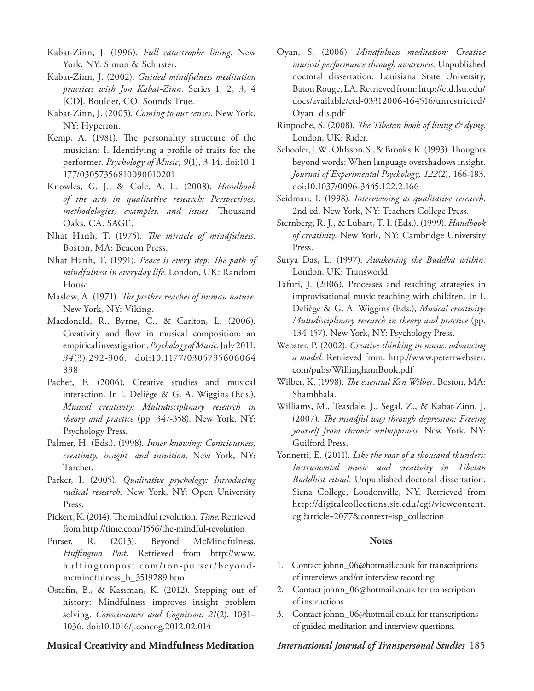Kabat-Zinn, J. (1996). *Full catastrophe living*. New York, NY: Simon & Schuster.

- Kabat-Zinn, J. (2002). *Guided mindfulness meditation practices with Jon Kabat-Zinn.* Series 1, 2, 3, 4 [CD]. Boulder, CO: Sounds True.
- Kabat-Zinn, J. (2005). *Coming to our senses*. New York, NY: Hyperion.
- Kemp, A. (1981). The personality structure of the musician: I. Identifying a profile of traits for the performer. *Psychology of Music*, *9*(1), 3-14. doi:10.1 177/03057356810090010201
- Knowles, G. J., & Cole, A. L. (2008). *Handbook of the arts in qualitative research: Perspectives, methodologies, examples, and issues*. Thousand Oaks, CA: SAGE.
- Nhat Hanh, T. (1975). *The miracle of mindfulness*. Boston, MA: Beacon Press.
- Nhat Hanh, T. (1991). *Peace is every step: The path of mindfulness in everyday life*. London, UK: Random House.
- Maslow, A. (1971). *The farther reaches of human nature*. New York, NY: Viking.
- Macdonald, R., Byrne, C., & Carlton, L. (2006). Creativity and flow in musical composition: an empirical investigation. *Psychology of Music*, July 2011, *34*(3),292-306. doi:10.1177/0305735606064 838
- Pachet, F. (2006). Creative studies and musical interaction. In I. Deliège & G. A. Wiggins (Eds.), *Musical creativity: Multidisciplinary research in theory and practice* (pp. 347-358). New York, NY: Psychology Press.
- Palmer, H. (Eds.). (1998). *Inner knowing: Consciousness, creativity, insight, and intuition*. New York, NY: Tarcher.
- Parker, I. (2005). *Qualitative psychology: Introducing radical research*. New York, NY: Open University Press.
- Pickert, K. (2014). The mindful revolution. *Time.* Retrieved from http://time.com/1556/the-mindful-revolution
- Purser, R. (2013). Beyond McMindfulness. *Huffington Post.* Retrieved from http://www. huffingtonpost.com/ron-purser/beyondmcmindfulness\_b\_3519289.html
- Ostafin, B., & Kassman, K. (2012). Stepping out of history: Mindfulness improves insight problem solving. *Consciousness and Cognition*, *21*(2), 1031– 1036. doi:10.1016/j.concog.2012.02.014

- Oyan, S. (2006). *Mindfulness meditation: Creative musical performance through awareness*. Unpublished doctoral dissertation. Louisiana State University, Baton Rouge, LA. Retrieved from: http://etd.lsu.edu/ docs/available/etd-03312006-164516/unrestricted/ Oyan\_dis.pdf
- Rinpoche, S. (2008). *The Tibetan book of living & dying*. London, UK: Rider.
- Schooler, J. W., Ohlsson, S., & Brooks, K. (1993). Thoughts beyond words: When language overshadows insight. *Journal of Experimental Psychology, 122*(2), 166-183. doi:10.1037/0096-3445.122.2.166
- Seidman, I. (1998). *Interviewing as qualitative research*. 2nd ed. New York, NY: Teachers College Press.
- Sternberg, R. J., & Lubart, T. I. (Eds.). (1999). *Handbook of creativity*. New York, NY: Cambridge University Press.
- Surya Das, L. (1997). *Awakening the Buddha within.* London, UK: Transworld.
- Tafuri, J. (2006). Processes and teaching strategies in improvisational music teaching with children. In I. Deliège & G. A. Wiggins (Eds.), *Musical creativity: Multidisciplinary research in theory and practice* (pp. 134-157). New York, NY: Psychology Press.
- Webster, P. (2002). *Creative thinking in music: advancing a model.* Retrieved from: http://www.peterrwebster. com/pubs/WillinghamBook.pdf
- Wilber, K. (1998). *The essential Ken Wilber*. Boston, MA: Shambhala.
- Williams, M., Teasdale, J., Segal, Z., & Kabat-Zinn, J. (2007). *The mindful way through depression: Freeing yourself from chronic unhappiness.* New York, NY: Guilford Press.
- Yonnetti, E. (2011). *Like the roar of a thousand thunders: Instrumental music and creativity in Tibetan Buddhist ritual*. Unpublished doctoral dissertation. Siena College, Loudonville, NY. Retrieved from http://digitalcollections.sit.edu/cgi/viewcontent. cgi?article=2077&context=isp\_collection

## **Notes**

- 1. Contact johnn\_06@hotmail.co.uk for transcriptions of interviews and/or interview recording
- 2. Contact johnn\_06@hotmail.co.uk for transcription of instructions
- 3. Contact johnn\_06@hotmail.co.uk for transcriptions of guided meditation and interview questions.